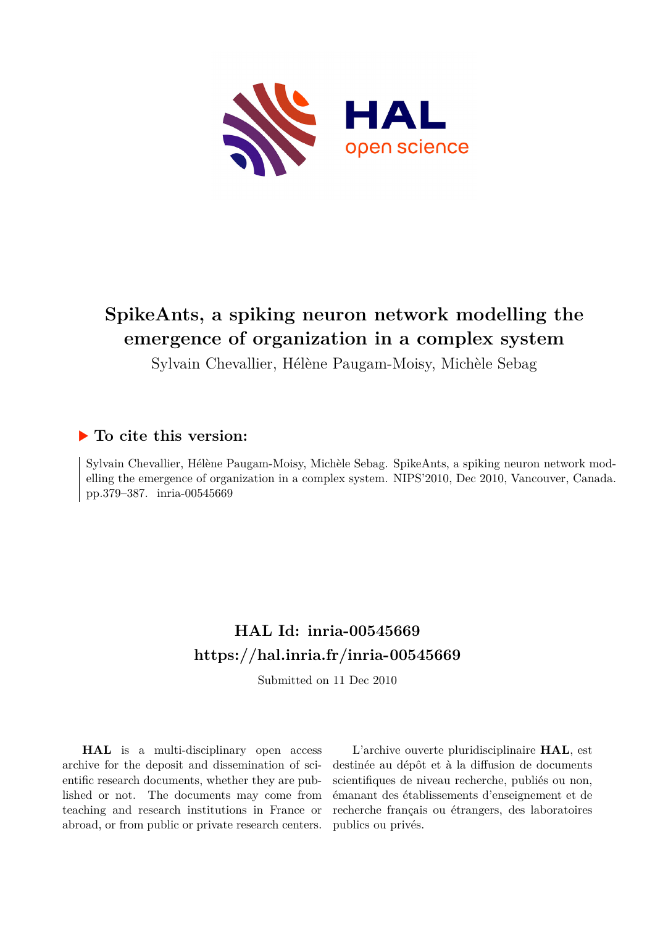

# **SpikeAnts, a spiking neuron network modelling the emergence of organization in a complex system**

Sylvain Chevallier, Hélène Paugam-Moisy, Michèle Sebag

## **To cite this version:**

Sylvain Chevallier, Hélène Paugam-Moisy, Michèle Sebag. SpikeAnts, a spiking neuron network modelling the emergence of organization in a complex system. NIPS'2010, Dec 2010, Vancouver, Canada. pp.379–387. inria-00545669

## **HAL Id: inria-00545669 <https://hal.inria.fr/inria-00545669>**

Submitted on 11 Dec 2010

**HAL** is a multi-disciplinary open access archive for the deposit and dissemination of scientific research documents, whether they are published or not. The documents may come from teaching and research institutions in France or abroad, or from public or private research centers.

L'archive ouverte pluridisciplinaire **HAL**, est destinée au dépôt et à la diffusion de documents scientifiques de niveau recherche, publiés ou non, émanant des établissements d'enseignement et de recherche français ou étrangers, des laboratoires publics ou privés.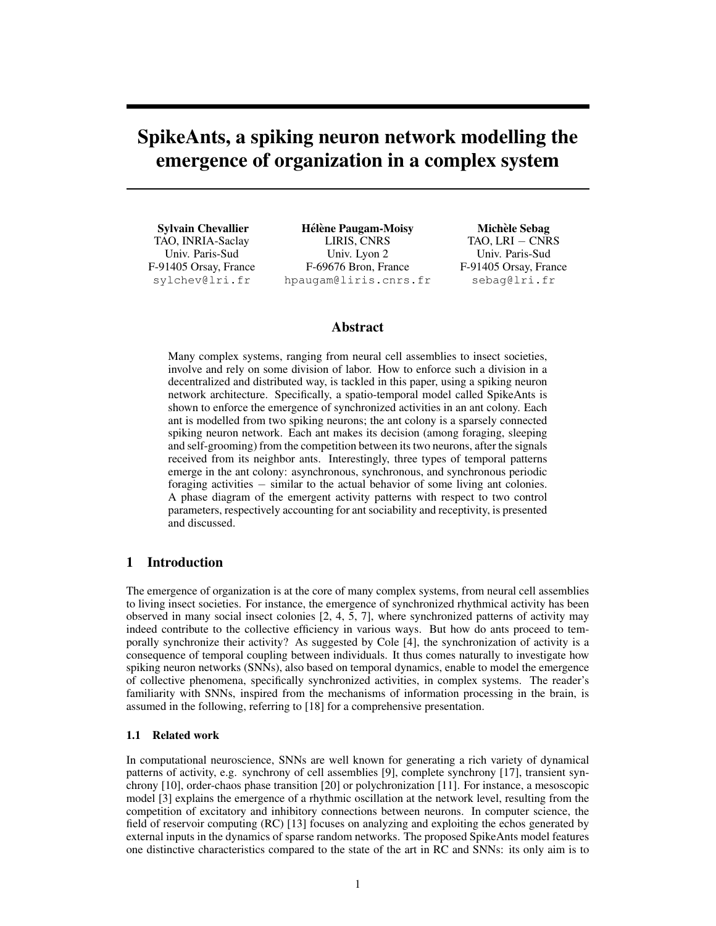## SpikeAnts, a spiking neuron network modelling the emergence of organization in a complex system

Sylvain Chevallier TAO, INRIA-Saclay Univ. Paris-Sud F-91405 Orsay, France sylchev@lri.fr

Hélène Paugam-Moisy LIRIS, CNRS Univ. Lyon 2 F-69676 Bron, France hpaugam@liris.cnrs.fr

Michèle Sebag TAO, LRI – CNRS Univ. Paris-Sud F-91405 Orsay, France sebag@lri.fr

## Abstract

Many complex systems, ranging from neural cell assemblies to insect societies, involve and rely on some division of labor. How to enforce such a division in a decentralized and distributed way, is tackled in this paper, using a spiking neuron network architecture. Specifically, a spatio-temporal model called SpikeAnts is shown to enforce the emergence of synchronized activities in an ant colony. Each ant is modelled from two spiking neurons; the ant colony is a sparsely connected spiking neuron network. Each ant makes its decision (among foraging, sleeping and self-grooming) from the competition between its two neurons, after the signals received from its neighbor ants. Interestingly, three types of temporal patterns emerge in the ant colony: asynchronous, synchronous, and synchronous periodic foraging activities − similar to the actual behavior of some living ant colonies. A phase diagram of the emergent activity patterns with respect to two control parameters, respectively accounting for ant sociability and receptivity, is presented and discussed.

## 1 Introduction

The emergence of organization is at the core of many complex systems, from neural cell assemblies to living insect societies. For instance, the emergence of synchronized rhythmical activity has been observed in many social insect colonies [2, 4, 5, 7], where synchronized patterns of activity may indeed contribute to the collective efficiency in various ways. But how do ants proceed to temporally synchronize their activity? As suggested by Cole [4], the synchronization of activity is a consequence of temporal coupling between individuals. It thus comes naturally to investigate how spiking neuron networks (SNNs), also based on temporal dynamics, enable to model the emergence of collective phenomena, specifically synchronized activities, in complex systems. The reader's familiarity with SNNs, inspired from the mechanisms of information processing in the brain, is assumed in the following, referring to [18] for a comprehensive presentation.

### 1.1 Related work

In computational neuroscience, SNNs are well known for generating a rich variety of dynamical patterns of activity, e.g. synchrony of cell assemblies [9], complete synchrony [17], transient synchrony [10], order-chaos phase transition [20] or polychronization [11]. For instance, a mesoscopic model [3] explains the emergence of a rhythmic oscillation at the network level, resulting from the competition of excitatory and inhibitory connections between neurons. In computer science, the field of reservoir computing (RC) [13] focuses on analyzing and exploiting the echos generated by external inputs in the dynamics of sparse random networks. The proposed SpikeAnts model features one distinctive characteristics compared to the state of the art in RC and SNNs: its only aim is to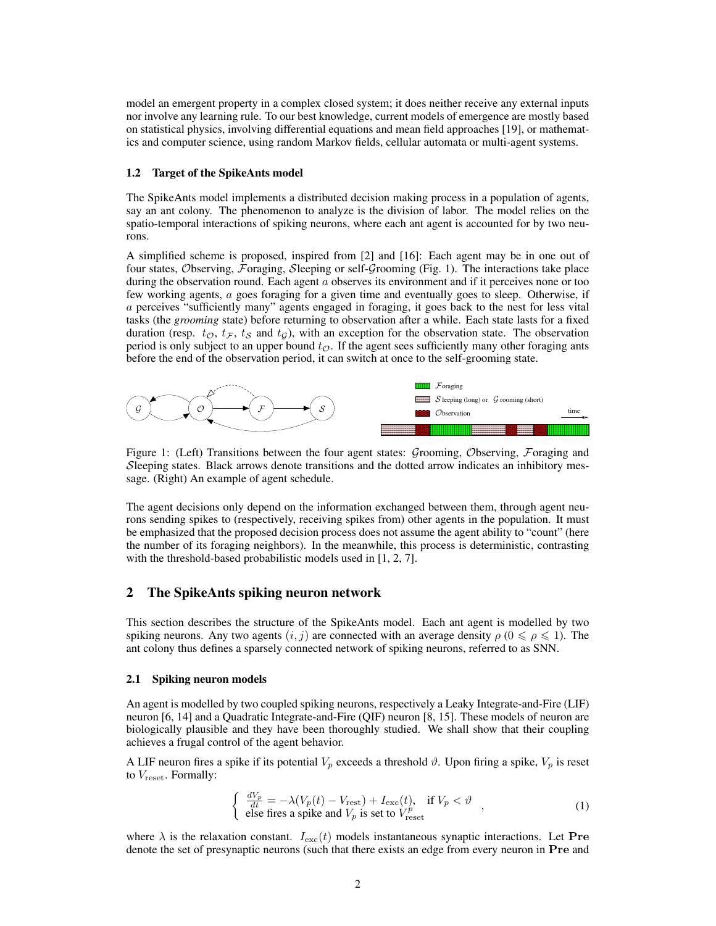model an emergent property in a complex closed system; it does neither receive any external inputs nor involve any learning rule. To our best knowledge, current models of emergence are mostly based on statistical physics, involving differential equations and mean field approaches [19], or mathematics and computer science, using random Markov fields, cellular automata or multi-agent systems.

#### 1.2 Target of the SpikeAnts model

The SpikeAnts model implements a distributed decision making process in a population of agents, say an ant colony. The phenomenon to analyze is the division of labor. The model relies on the spatio-temporal interactions of spiking neurons, where each ant agent is accounted for by two neurons.

A simplified scheme is proposed, inspired from [2] and [16]: Each agent may be in one out of four states, Observing, Foraging, Sleeping or self-Grooming (Fig. 1). The interactions take place during the observation round. Each agent  $a$  observes its environment and if it perceives none or too few working agents, a goes foraging for a given time and eventually goes to sleep. Otherwise, if a perceives "sufficiently many" agents engaged in foraging, it goes back to the nest for less vital tasks (the *grooming* state) before returning to observation after a while. Each state lasts for a fixed duration (resp.  $t_{\mathcal{O}}, t_{\mathcal{F}}, t_{\mathcal{S}}$  and  $t_{\mathcal{G}}$ ), with an exception for the observation state. The observation period is only subject to an upper bound  $t_{\mathcal{O}}$ . If the agent sees sufficiently many other foraging ants before the end of the observation period, it can switch at once to the self-grooming state.



Figure 1: (Left) Transitions between the four agent states: Grooming, Observing, Foraging and Sleeping states. Black arrows denote transitions and the dotted arrow indicates an inhibitory message. (Right) An example of agent schedule.

The agent decisions only depend on the information exchanged between them, through agent neurons sending spikes to (respectively, receiving spikes from) other agents in the population. It must be emphasized that the proposed decision process does not assume the agent ability to "count" (here the number of its foraging neighbors). In the meanwhile, this process is deterministic, contrasting with the threshold-based probabilistic models used in [1, 2, 7].

### 2 The SpikeAnts spiking neuron network

This section describes the structure of the SpikeAnts model. Each ant agent is modelled by two spiking neurons. Any two agents  $(i, j)$  are connected with an average density  $\rho$  ( $0 \le \rho \le 1$ ). The ant colony thus defines a sparsely connected network of spiking neurons, referred to as SNN.

#### 2.1 Spiking neuron models

An agent is modelled by two coupled spiking neurons, respectively a Leaky Integrate-and-Fire (LIF) neuron [6, 14] and a Quadratic Integrate-and-Fire (QIF) neuron [8, 15]. These models of neuron are biologically plausible and they have been thoroughly studied. We shall show that their coupling achieves a frugal control of the agent behavior.

A LIF neuron fires a spike if its potential  $V_p$  exceeds a threshold  $\vartheta$ . Upon firing a spike,  $V_p$  is reset to  $V_{\text{reset}}$ . Formally:

$$
\begin{cases} \frac{dV_p}{dt} = -\lambda (V_p(t) - V_{\text{rest}}) + I_{\text{exc}}(t), & \text{if } V_p < \vartheta \\ \text{else fires a spike and } V_p \text{ is set to } V_{\text{reset}}^p \end{cases},
$$
\n(1)

where  $\lambda$  is the relaxation constant.  $I_{\text{exc}}(t)$  models instantaneous synaptic interactions. Let **Pre** denote the set of presynaptic neurons (such that there exists an edge from every neuron in Pre and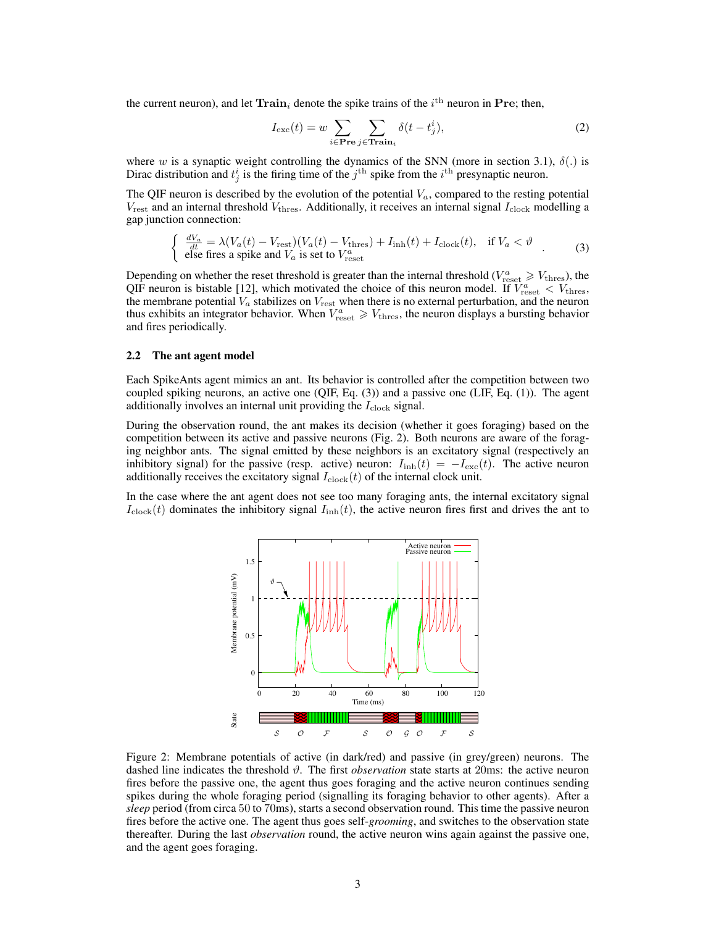the current neuron), and let  $\text{Train}_i$  denote the spike trains of the  $i^{\text{th}}$  neuron in Pre; then,

$$
I_{\text{exc}}(t) = w \sum_{i \in \text{Pre}} \sum_{j \in \text{Train}_i} \delta(t - t_j^i), \tag{2}
$$

where w is a synaptic weight controlling the dynamics of the SNN (more in section 3.1),  $\delta(.)$  is Dirac distribution and  $t_j^i$  is the firing time of the  $j^{\text{th}}$  spike from the  $i^{\text{th}}$  presynaptic neuron.

The QIF neuron is described by the evolution of the potential  $V_a$ , compared to the resting potential  $V_{\text{rest}}$  and an internal threshold  $V_{\text{thres}}$ . Additionally, it receives an internal signal  $I_{\text{clock}}$  modelling a gap junction connection:

$$
\begin{cases} \frac{dV_a}{dt} = \lambda (V_a(t) - V_{\text{rest}})(V_a(t) - V_{\text{thres}}) + I_{\text{inh}}(t) + I_{\text{clock}}(t), & \text{if } V_a < \vartheta \\ \text{else fires a spike and } V_a \text{ is set to } V_{\text{reset}} \end{cases} (3)
$$

Depending on whether the reset threshold is greater than the internal threshold ( $V_{\text{reset}}^a \geq V_{\text{thres}}$ ), the QIF neuron is bistable [12], which motivated the choice of this neuron model. If  $V_{\text{reset}}^a < V_{\text{thres}}$ , the membrane potential  $V_a$  stabilizes on  $V_{\text{rest}}$  when there is no external perturbation, and the neuron thus exhibits an integrator behavior. When  $V_{\text{reset}}^a \geq V_{\text{thres}}$ , the neuron displays a bursting behavior and fires periodically.

#### 2.2 The ant agent model

Each SpikeAnts agent mimics an ant. Its behavior is controlled after the competition between two coupled spiking neurons, an active one (QIF, Eq. (3)) and a passive one (LIF, Eq. (1)). The agent additionally involves an internal unit providing the  $I_{\rm clock}$  signal.

During the observation round, the ant makes its decision (whether it goes foraging) based on the competition between its active and passive neurons (Fig. 2). Both neurons are aware of the foraging neighbor ants. The signal emitted by these neighbors is an excitatory signal (respectively an inhibitory signal) for the passive (resp. active) neuron:  $I_{\text{inh}}(t) = -I_{\text{exc}}(t)$ . The active neuron additionally receives the excitatory signal  $I_{\text{clock}}(t)$  of the internal clock unit.

In the case where the ant agent does not see too many foraging ants, the internal excitatory signal  $I_{\rm clock}(t)$  dominates the inhibitory signal  $I_{\rm inh}(t)$ , the active neuron fires first and drives the ant to



Figure 2: Membrane potentials of active (in dark/red) and passive (in grey/green) neurons. The dashed line indicates the threshold  $\vartheta$ . The first *observation* state starts at 20ms: the active neuron fires before the passive one, the agent thus goes foraging and the active neuron continues sending spikes during the whole foraging period (signalling its foraging behavior to other agents). After a *sleep* period (from circa 50 to 70ms), starts a second observation round. This time the passive neuron fires before the active one. The agent thus goes self-*grooming*, and switches to the observation state thereafter. During the last *observation* round, the active neuron wins again against the passive one, and the agent goes foraging.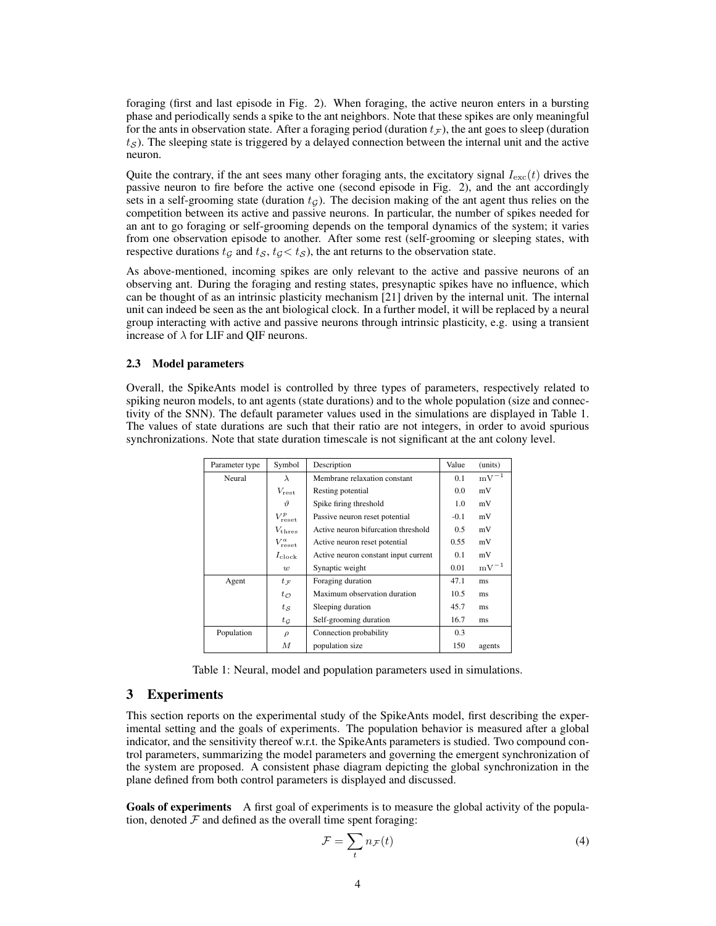foraging (first and last episode in Fig. 2). When foraging, the active neuron enters in a bursting phase and periodically sends a spike to the ant neighbors. Note that these spikes are only meaningful for the ants in observation state. After a foraging period (duration  $t_F$ ), the ant goes to sleep (duration  $t<sub>S</sub>$ ). The sleeping state is triggered by a delayed connection between the internal unit and the active neuron.

Quite the contrary, if the ant sees many other foraging ants, the excitatory signal  $I_{\text{exc}}(t)$  drives the passive neuron to fire before the active one (second episode in Fig. 2), and the ant accordingly sets in a self-grooming state (duration  $t_G$ ). The decision making of the ant agent thus relies on the competition between its active and passive neurons. In particular, the number of spikes needed for an ant to go foraging or self-grooming depends on the temporal dynamics of the system; it varies from one observation episode to another. After some rest (self-grooming or sleeping states, with respective durations  $t<sub>G</sub>$  and  $t<sub>S</sub>$ ,  $t<sub>G</sub> < t<sub>S</sub>$ ), the ant returns to the observation state.

As above-mentioned, incoming spikes are only relevant to the active and passive neurons of an observing ant. During the foraging and resting states, presynaptic spikes have no influence, which can be thought of as an intrinsic plasticity mechanism [21] driven by the internal unit. The internal unit can indeed be seen as the ant biological clock. In a further model, it will be replaced by a neural group interacting with active and passive neurons through intrinsic plasticity, e.g. using a transient increase of  $\lambda$  for LIF and QIF neurons.

#### 2.3 Model parameters

Overall, the SpikeAnts model is controlled by three types of parameters, respectively related to spiking neuron models, to ant agents (state durations) and to the whole population (size and connectivity of the SNN). The default parameter values used in the simulations are displayed in Table 1. The values of state durations are such that their ratio are not integers, in order to avoid spurious synchronizations. Note that state duration timescale is not significant at the ant colony level.

| Parameter type | Symbol               | Description                          | Value  | (units)   |
|----------------|----------------------|--------------------------------------|--------|-----------|
| Neural         | $\lambda$            | Membrane relaxation constant         | 0.1    | $mV^{-1}$ |
|                | $V_{\rm rest}$       | Resting potential                    | 0.0    | mV        |
|                | $\eta$               | Spike firing threshold               | 1.0    | mV        |
|                | $V_{\text{reset}}^p$ | Passive neuron reset potential       | $-0.1$ | mV        |
|                | $V_{\rm thres}$      | Active neuron bifurcation threshold  | 0.5    | mV        |
|                | $V_{\text{reset}}^a$ | Active neuron reset potential        | 0.55   | mV        |
|                | $I_{\rm clock}$      | Active neuron constant input current | 0.1    | mV        |
|                | w                    | Synaptic weight                      | 0.01   | $mV^{-1}$ |
| Agent          | $t_{\mathcal{F}}$    | Foraging duration                    | 47.1   | ms        |
|                | $t_{\mathcal{O}}$    | Maximum observation duration         | 10.5   | ms        |
|                | $t_{\mathcal{S}}$    | Sleeping duration                    | 45.7   | ms        |
|                | $t_{\mathcal{G}}$    | Self-grooming duration               | 16.7   | ms        |
| Population     | $\rho$               | Connection probability               | 0.3    |           |
|                | М                    | population size                      | 150    | agents    |

Table 1: Neural, model and population parameters used in simulations.

## 3 Experiments

This section reports on the experimental study of the SpikeAnts model, first describing the experimental setting and the goals of experiments. The population behavior is measured after a global indicator, and the sensitivity thereof w.r.t. the SpikeAnts parameters is studied. Two compound control parameters, summarizing the model parameters and governing the emergent synchronization of the system are proposed. A consistent phase diagram depicting the global synchronization in the plane defined from both control parameters is displayed and discussed.

Goals of experiments A first goal of experiments is to measure the global activity of the population, denoted  $\mathcal F$  and defined as the overall time spent foraging:

$$
\mathcal{F} = \sum_{t} n_{\mathcal{F}}(t) \tag{4}
$$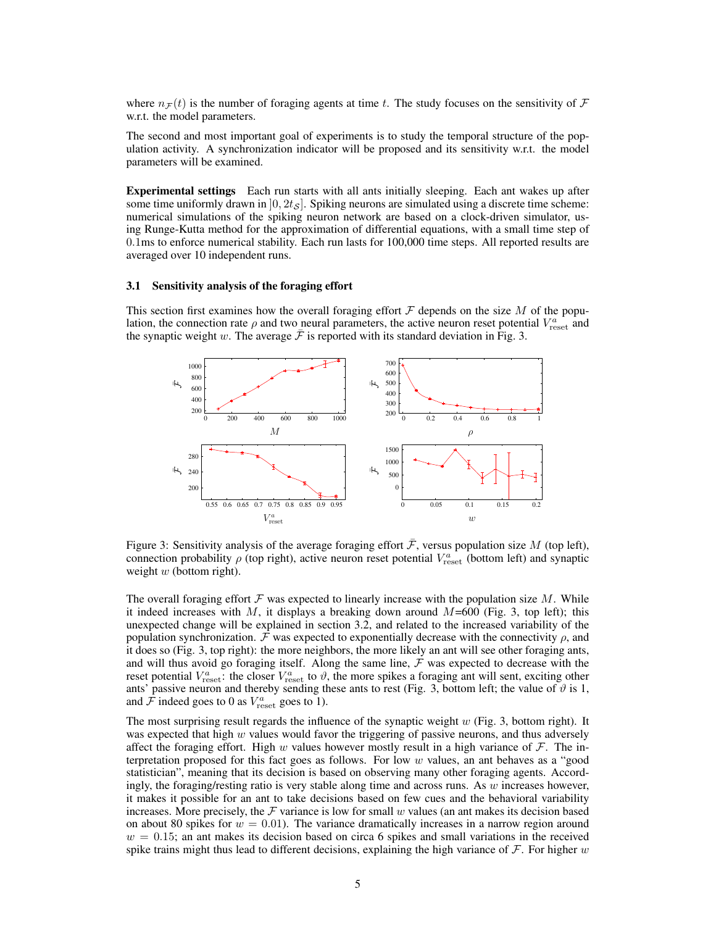where  $n_F(t)$  is the number of foraging agents at time t. The study focuses on the sensitivity of F w.r.t. the model parameters.

The second and most important goal of experiments is to study the temporal structure of the population activity. A synchronization indicator will be proposed and its sensitivity w.r.t. the model parameters will be examined.

Experimental settings Each run starts with all ants initially sleeping. Each ant wakes up after some time uniformly drawn in  $[0, 2t<sub>S</sub>]$ . Spiking neurons are simulated using a discrete time scheme: numerical simulations of the spiking neuron network are based on a clock-driven simulator, using Runge-Kutta method for the approximation of differential equations, with a small time step of 0.1ms to enforce numerical stability. Each run lasts for 100,000 time steps. All reported results are averaged over 10 independent runs.

#### 3.1 Sensitivity analysis of the foraging effort

This section first examines how the overall foraging effort  $\mathcal F$  depends on the size  $M$  of the population, the connection rate  $\rho$  and two neural parameters, the active neuron reset potential  $V_{\text{reset}}^a$  and the synaptic weight w. The average  $\mathcal F$  is reported with its standard deviation in Fig. 3.



Figure 3: Sensitivity analysis of the average foraging effort  $\bar{\mathcal{F}}$ , versus population size M (top left), connection probability  $\rho$  (top right), active neuron reset potential  $V_{\text{reset}}^a$  (bottom left) and synaptic weight  $w$  (bottom right).

The overall foraging effort  $\mathcal F$  was expected to linearly increase with the population size  $M$ . While it indeed increases with M, it displays a breaking down around  $M=600$  (Fig. 3, top left); this unexpected change will be explained in section 3.2, and related to the increased variability of the population synchronization. F was expected to exponentially decrease with the connectivity  $\rho$ , and it does so (Fig. 3, top right): the more neighbors, the more likely an ant will see other foraging ants, and will thus avoid go foraging itself. Along the same line,  $F$  was expected to decrease with the reset potential  $V_{\text{reset}}^a$ : the closer  $V_{\text{reset}}^a$  to  $\vartheta$ , the more spikes a foraging ant will sent, exciting other ants' passive neuron and thereby sending these ants to rest (Fig. 3, bottom left; the value of  $\vartheta$  is 1, and  $\hat{\mathcal{F}}$  indeed goes to 0 as  $V_{\text{reset}}^a$  goes to 1).

The most surprising result regards the influence of the synaptic weight  $w$  (Fig. 3, bottom right). It was expected that high  $w$  values would favor the triggering of passive neurons, and thus adversely affect the foraging effort. High w values however mostly result in a high variance of  $\mathcal{F}$ . The interpretation proposed for this fact goes as follows. For low  $w$  values, an ant behaves as a "good statistician", meaning that its decision is based on observing many other foraging agents. Accordingly, the foraging/resting ratio is very stable along time and across runs. As  $w$  increases however, it makes it possible for an ant to take decisions based on few cues and the behavioral variability increases. More precisely, the  $\mathcal F$  variance is low for small w values (an ant makes its decision based on about 80 spikes for  $w = 0.01$ . The variance dramatically increases in a narrow region around  $w = 0.15$ ; an ant makes its decision based on circa 6 spikes and small variations in the received spike trains might thus lead to different decisions, explaining the high variance of  $\mathcal F$ . For higher w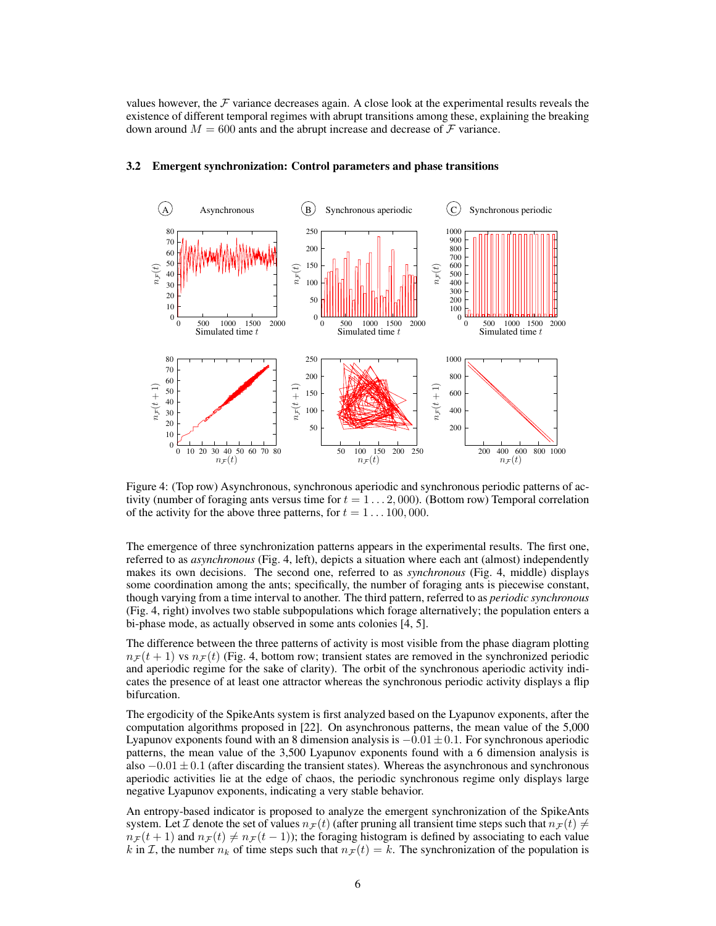values however, the  $F$  variance decreases again. A close look at the experimental results reveals the existence of different temporal regimes with abrupt transitions among these, explaining the breaking down around  $M = 600$  ants and the abrupt increase and decrease of  $\mathcal F$  variance.



#### 3.2 Emergent synchronization: Control parameters and phase transitions

Figure 4: (Top row) Asynchronous, synchronous aperiodic and synchronous periodic patterns of activity (number of foraging ants versus time for  $t = 1 \dots 2,000$ ). (Bottom row) Temporal correlation of the activity for the above three patterns, for  $t = 1 \dots 100,000$ .

The emergence of three synchronization patterns appears in the experimental results. The first one, referred to as *asynchronous* (Fig. 4, left), depicts a situation where each ant (almost) independently makes its own decisions. The second one, referred to as *synchronous* (Fig. 4, middle) displays some coordination among the ants; specifically, the number of foraging ants is piecewise constant, though varying from a time interval to another. The third pattern, referred to as *periodic synchronous* (Fig. 4, right) involves two stable subpopulations which forage alternatively; the population enters a bi-phase mode, as actually observed in some ants colonies [4, 5].

The difference between the three patterns of activity is most visible from the phase diagram plotting  $n_F (t + 1)$  vs  $n_F (t)$  (Fig. 4, bottom row; transient states are removed in the synchronized periodic and aperiodic regime for the sake of clarity). The orbit of the synchronous aperiodic activity indicates the presence of at least one attractor whereas the synchronous periodic activity displays a flip bifurcation.

The ergodicity of the SpikeAnts system is first analyzed based on the Lyapunov exponents, after the computation algorithms proposed in [22]. On asynchronous patterns, the mean value of the 5,000 Lyapunov exponents found with an 8 dimension analysis is  $-0.01 \pm 0.1$ . For synchronous aperiodic patterns, the mean value of the 3,500 Lyapunov exponents found with a 6 dimension analysis is also  $-0.01 \pm 0.1$  (after discarding the transient states). Whereas the asynchronous and synchronous aperiodic activities lie at the edge of chaos, the periodic synchronous regime only displays large negative Lyapunov exponents, indicating a very stable behavior.

An entropy-based indicator is proposed to analyze the emergent synchronization of the SpikeAnts system. Let T denote the set of values  $n_F(t)$  (after pruning all transient time steps such that  $n_F(t) \neq 0$  $n_F (t + 1)$  and  $n_F (t) \neq n_F (t - 1)$ ; the foraging histogram is defined by associating to each value k in I, the number  $n_k$  of time steps such that  $n_F(t) = k$ . The synchronization of the population is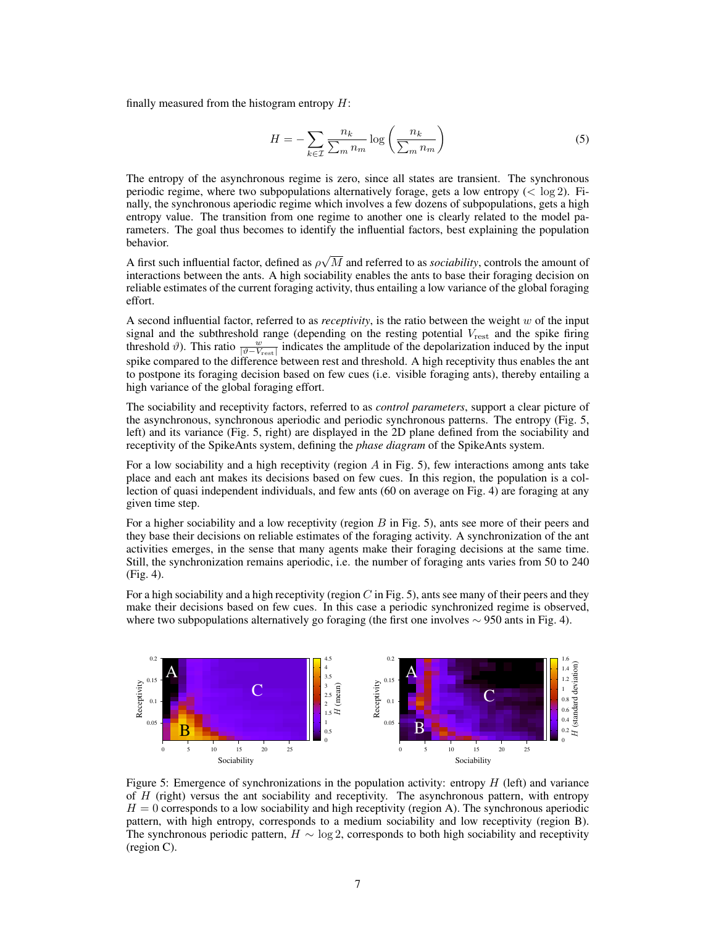finally measured from the histogram entropy  $H$ :

$$
H = -\sum_{k \in \mathcal{I}} \frac{n_k}{\sum_m n_m} \log \left( \frac{n_k}{\sum_m n_m} \right) \tag{5}
$$

The entropy of the asynchronous regime is zero, since all states are transient. The synchronous periodic regime, where two subpopulations alternatively forage, gets a low entropy ( $<$  log 2). Finally, the synchronous aperiodic regime which involves a few dozens of subpopulations, gets a high entropy value. The transition from one regime to another one is clearly related to the model parameters. The goal thus becomes to identify the influential factors, best explaining the population behavior.

A first such influential factor, defined as  $\rho\sqrt{M}$  and referred to as *sociability*, controls the amount of interactions between the ants. A high sociability enables the ants to base their foraging decision on reliable estimates of the current foraging activity, thus entailing a low variance of the global foraging effort.

A second influential factor, referred to as *receptivity*, is the ratio between the weight w of the input signal and the subthreshold range (depending on the resting potential  $V_{\text{rest}}$  and the spike firing threshold  $\vartheta$ ). This ratio  $\frac{w}{|\vartheta - V_{\text{rest}}|}$  indicates the amplitude of the depolarization induced by the input spike compared to the difference between rest and threshold. A high receptivity thus enables the ant to postpone its foraging decision based on few cues (i.e. visible foraging ants), thereby entailing a high variance of the global foraging effort.

The sociability and receptivity factors, referred to as *control parameters*, support a clear picture of the asynchronous, synchronous aperiodic and periodic synchronous patterns. The entropy (Fig. 5, left) and its variance (Fig. 5, right) are displayed in the 2D plane defined from the sociability and receptivity of the SpikeAnts system, defining the *phase diagram* of the SpikeAnts system.

For a low sociability and a high receptivity (region  $\tilde{A}$  in Fig. 5), few interactions among ants take place and each ant makes its decisions based on few cues. In this region, the population is a collection of quasi independent individuals, and few ants (60 on average on Fig. 4) are foraging at any given time step.

For a higher sociability and a low receptivity (region  $B$  in Fig. 5), ants see more of their peers and they base their decisions on reliable estimates of the foraging activity. A synchronization of the ant activities emerges, in the sense that many agents make their foraging decisions at the same time. Still, the synchronization remains aperiodic, i.e. the number of foraging ants varies from 50 to 240 (Fig. 4).

For a high sociability and a high receptivity (region  $C$  in Fig. 5), ants see many of their peers and they make their decisions based on few cues. In this case a periodic synchronized regime is observed, where two subpopulations alternatively go foraging (the first one involves  $\sim$  950 ants in Fig. 4).



Figure 5: Emergence of synchronizations in the population activity: entropy H (left) and variance of  $H$  (right) versus the ant sociability and receptivity. The asynchronous pattern, with entropy  $H = 0$  corresponds to a low sociability and high receptivity (region A). The synchronous aperiodic pattern, with high entropy, corresponds to a medium sociability and low receptivity (region B). The synchronous periodic pattern,  $H \sim \log 2$ , corresponds to both high sociability and receptivity (region C).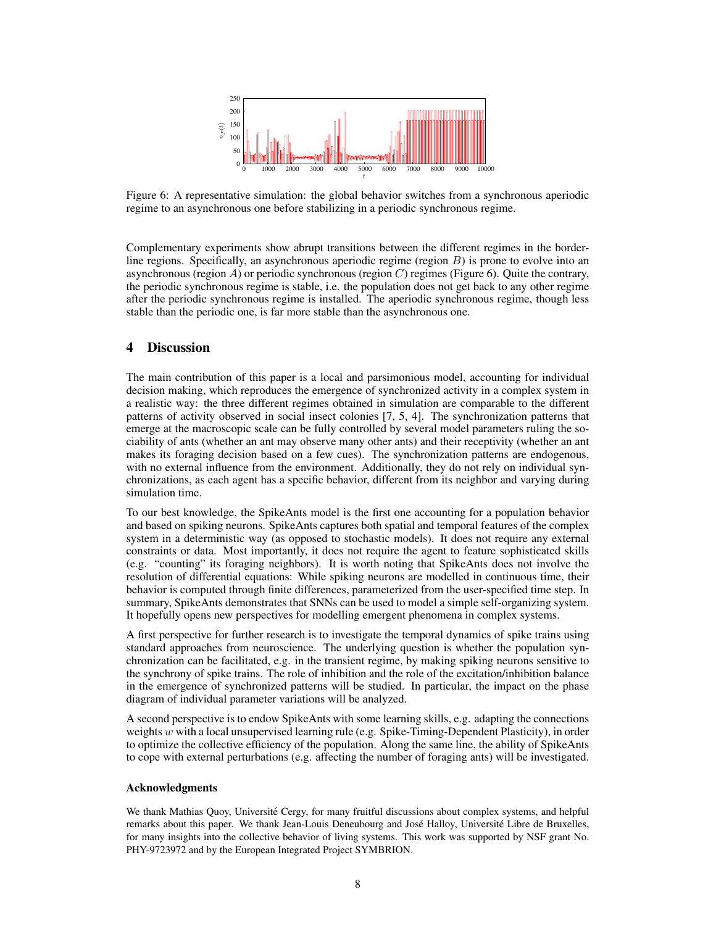

Figure 6: A representative simulation: the global behavior switches from a synchronous aperiodic regime to an asynchronous one before stabilizing in a periodic synchronous regime.

Complementary experiments show abrupt transitions between the different regimes in the borderline regions. Specifically, an asynchronous aperiodic regime (region  $B$ ) is prone to evolve into an asynchronous (region A) or periodic synchronous (region C) regimes (Figure 6). Quite the contrary, the periodic synchronous regime is stable, i.e. the population does not get back to any other regime after the periodic synchronous regime is installed. The aperiodic synchronous regime, though less stable than the periodic one, is far more stable than the asynchronous one.

## 4 Discussion

The main contribution of this paper is a local and parsimonious model, accounting for individual decision making, which reproduces the emergence of synchronized activity in a complex system in a realistic way: the three different regimes obtained in simulation are comparable to the different patterns of activity observed in social insect colonies [7, 5, 4]. The synchronization patterns that emerge at the macroscopic scale can be fully controlled by several model parameters ruling the sociability of ants (whether an ant may observe many other ants) and their receptivity (whether an ant makes its foraging decision based on a few cues). The synchronization patterns are endogenous, with no external influence from the environment. Additionally, they do not rely on individual synchronizations, as each agent has a specific behavior, different from its neighbor and varying during simulation time.

To our best knowledge, the SpikeAnts model is the first one accounting for a population behavior and based on spiking neurons. SpikeAnts captures both spatial and temporal features of the complex system in a deterministic way (as opposed to stochastic models). It does not require any external constraints or data. Most importantly, it does not require the agent to feature sophisticated skills (e.g. "counting" its foraging neighbors). It is worth noting that SpikeAnts does not involve the resolution of differential equations: While spiking neurons are modelled in continuous time, their behavior is computed through finite differences, parameterized from the user-specified time step. In summary, SpikeAnts demonstrates that SNNs can be used to model a simple self-organizing system. It hopefully opens new perspectives for modelling emergent phenomena in complex systems.

A first perspective for further research is to investigate the temporal dynamics of spike trains using standard approaches from neuroscience. The underlying question is whether the population synchronization can be facilitated, e.g. in the transient regime, by making spiking neurons sensitive to the synchrony of spike trains. The role of inhibition and the role of the excitation/inhibition balance in the emergence of synchronized patterns will be studied. In particular, the impact on the phase diagram of individual parameter variations will be analyzed.

A second perspective is to endow SpikeAnts with some learning skills, e.g. adapting the connections weights  $w$  with a local unsupervised learning rule (e.g. Spike-Timing-Dependent Plasticity), in order to optimize the collective efficiency of the population. Along the same line, the ability of SpikeAnts to cope with external perturbations (e.g. affecting the number of foraging ants) will be investigated.

#### Acknowledgments

We thank Mathias Quoy, Université Cergy, for many fruitful discussions about complex systems, and helpful remarks about this paper. We thank Jean-Louis Deneubourg and José Halloy, Université Libre de Bruxelles, for many insights into the collective behavior of living systems. This work was supported by NSF grant No. PHY-9723972 and by the European Integrated Project SYMBRION.